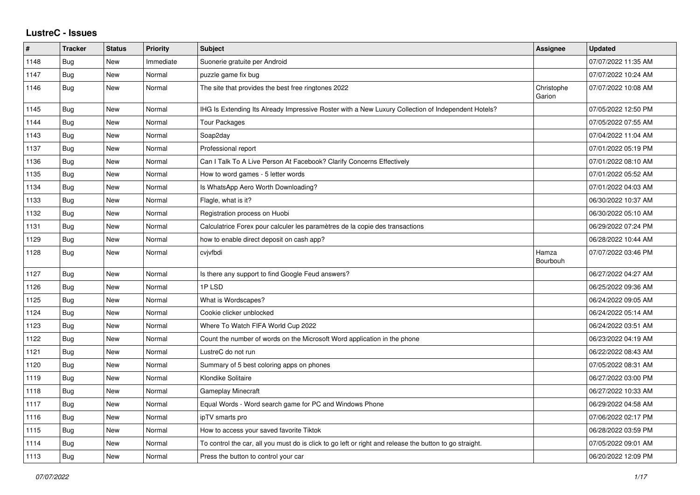## **LustreC - Issues**

| ∦    | <b>Tracker</b> | <b>Status</b> | <b>Priority</b> | <b>Subject</b>                                                                                          | Assignee             | <b>Updated</b>      |
|------|----------------|---------------|-----------------|---------------------------------------------------------------------------------------------------------|----------------------|---------------------|
| 1148 | Bug            | New           | Immediate       | Suonerie gratuite per Android                                                                           |                      | 07/07/2022 11:35 AM |
| 1147 | Bug            | New           | Normal          | puzzle game fix bug                                                                                     |                      | 07/07/2022 10:24 AM |
| 1146 | <b>Bug</b>     | New           | Normal          | The site that provides the best free ringtones 2022                                                     | Christophe<br>Garion | 07/07/2022 10:08 AM |
| 1145 | <b>Bug</b>     | <b>New</b>    | Normal          | IHG Is Extending Its Already Impressive Roster with a New Luxury Collection of Independent Hotels?      |                      | 07/05/2022 12:50 PM |
| 1144 | Bug            | New           | Normal          | <b>Tour Packages</b>                                                                                    |                      | 07/05/2022 07:55 AM |
| 1143 | Bug            | New           | Normal          | Soap2day                                                                                                |                      | 07/04/2022 11:04 AM |
| 1137 | <b>Bug</b>     | <b>New</b>    | Normal          | Professional report                                                                                     |                      | 07/01/2022 05:19 PM |
| 1136 | Bug            | New           | Normal          | Can I Talk To A Live Person At Facebook? Clarify Concerns Effectively                                   |                      | 07/01/2022 08:10 AM |
| 1135 | <b>Bug</b>     | New           | Normal          | How to word games - 5 letter words                                                                      |                      | 07/01/2022 05:52 AM |
| 1134 | Bug            | New           | Normal          | Is WhatsApp Aero Worth Downloading?                                                                     |                      | 07/01/2022 04:03 AM |
| 1133 | <b>Bug</b>     | New           | Normal          | Flagle, what is it?                                                                                     |                      | 06/30/2022 10:37 AM |
| 1132 | <b>Bug</b>     | New           | Normal          | Registration process on Huobi                                                                           |                      | 06/30/2022 05:10 AM |
| 1131 | Bug            | New           | Normal          | Calculatrice Forex pour calculer les paramètres de la copie des transactions                            |                      | 06/29/2022 07:24 PM |
| 1129 | <b>Bug</b>     | New           | Normal          | how to enable direct deposit on cash app?                                                               |                      | 06/28/2022 10:44 AM |
| 1128 | <b>Bug</b>     | New           | Normal          | cvjvfbdi                                                                                                | Hamza<br>Bourbouh    | 07/07/2022 03:46 PM |
| 1127 | <b>Bug</b>     | New           | Normal          | Is there any support to find Google Feud answers?                                                       |                      | 06/27/2022 04:27 AM |
| 1126 | Bug            | New           | Normal          | 1PLSD                                                                                                   |                      | 06/25/2022 09:36 AM |
| 1125 | Bug            | <b>New</b>    | Normal          | What is Wordscapes?                                                                                     |                      | 06/24/2022 09:05 AM |
| 1124 | Bug            | New           | Normal          | Cookie clicker unblocked                                                                                |                      | 06/24/2022 05:14 AM |
| 1123 | Bug            | New           | Normal          | Where To Watch FIFA World Cup 2022                                                                      |                      | 06/24/2022 03:51 AM |
| 1122 | <b>Bug</b>     | <b>New</b>    | Normal          | Count the number of words on the Microsoft Word application in the phone                                |                      | 06/23/2022 04:19 AM |
| 1121 | <b>Bug</b>     | New           | Normal          | LustreC do not run                                                                                      |                      | 06/22/2022 08:43 AM |
| 1120 | <b>Bug</b>     | New           | Normal          | Summary of 5 best coloring apps on phones                                                               |                      | 07/05/2022 08:31 AM |
| 1119 | Bug            | New           | Normal          | Klondike Solitaire                                                                                      |                      | 06/27/2022 03:00 PM |
| 1118 | <b>Bug</b>     | New           | Normal          | Gameplay Minecraft                                                                                      |                      | 06/27/2022 10:33 AM |
| 1117 | <b>Bug</b>     | New           | Normal          | Equal Words - Word search game for PC and Windows Phone                                                 |                      | 06/29/2022 04:58 AM |
| 1116 | Bug            | New           | Normal          | ipTV smarts pro                                                                                         |                      | 07/06/2022 02:17 PM |
| 1115 | <b>Bug</b>     | New           | Normal          | How to access your saved favorite Tiktok                                                                |                      | 06/28/2022 03:59 PM |
| 1114 | Bug            | New           | Normal          | To control the car, all you must do is click to go left or right and release the button to go straight. |                      | 07/05/2022 09:01 AM |
| 1113 | Bug            | New           | Normal          | Press the button to control your car                                                                    |                      | 06/20/2022 12:09 PM |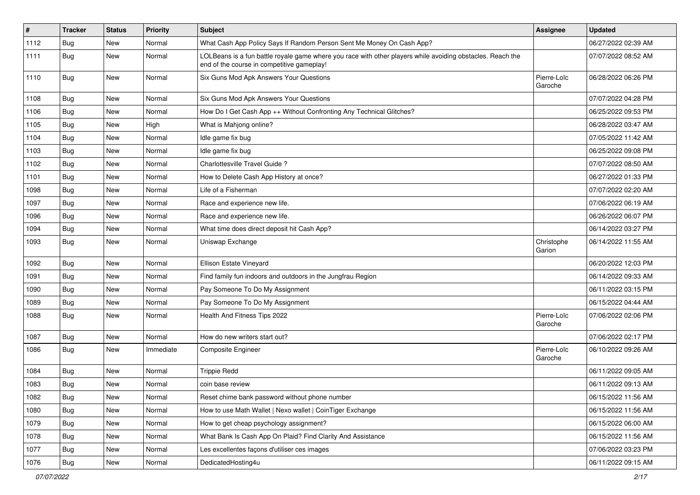| $\sharp$ | <b>Tracker</b> | <b>Status</b> | <b>Priority</b> | <b>Subject</b>                                                                                                                                           | Assignee               | <b>Updated</b>      |
|----------|----------------|---------------|-----------------|----------------------------------------------------------------------------------------------------------------------------------------------------------|------------------------|---------------------|
| 1112     | Bug            | New           | Normal          | What Cash App Policy Says If Random Person Sent Me Money On Cash App?                                                                                    |                        | 06/27/2022 02:39 AM |
| 1111     | Bug            | New           | Normal          | LOLBeans is a fun battle royale game where you race with other players while avoiding obstacles. Reach the<br>end of the course in competitive gameplay! |                        | 07/07/2022 08:52 AM |
| 1110     | <b>Bug</b>     | <b>New</b>    | Normal          | Six Guns Mod Apk Answers Your Questions                                                                                                                  | Pierre-Loïc<br>Garoche | 06/28/2022 06:26 PM |
| 1108     | Bug            | <b>New</b>    | Normal          | Six Guns Mod Apk Answers Your Questions                                                                                                                  |                        | 07/07/2022 04:28 PM |
| 1106     | Bug            | New           | Normal          | How Do I Get Cash App ++ Without Confronting Any Technical Glitches?                                                                                     |                        | 06/25/2022 09:53 PM |
| 1105     | Bug            | <b>New</b>    | High            | What is Mahjong online?                                                                                                                                  |                        | 06/28/2022 03:47 AM |
| 1104     | <b>Bug</b>     | New           | Normal          | Idle game fix bug                                                                                                                                        |                        | 07/05/2022 11:42 AM |
| 1103     | Bug            | <b>New</b>    | Normal          | Idle game fix bug                                                                                                                                        |                        | 06/25/2022 09:08 PM |
| 1102     | Bug            | New           | Normal          | Charlottesville Travel Guide?                                                                                                                            |                        | 07/07/2022 08:50 AM |
| 1101     | <b>Bug</b>     | <b>New</b>    | Normal          | How to Delete Cash App History at once?                                                                                                                  |                        | 06/27/2022 01:33 PM |
| 1098     | Bug            | <b>New</b>    | Normal          | Life of a Fisherman                                                                                                                                      |                        | 07/07/2022 02:20 AM |
| 1097     | Bug            | New           | Normal          | Race and experience new life.                                                                                                                            |                        | 07/06/2022 06:19 AM |
| 1096     | <b>Bug</b>     | New           | Normal          | Race and experience new life.                                                                                                                            |                        | 06/26/2022 06:07 PM |
| 1094     | Bug            | <b>New</b>    | Normal          | What time does direct deposit hit Cash App?                                                                                                              |                        | 06/14/2022 03:27 PM |
| 1093     | Bug            | New           | Normal          | Uniswap Exchange                                                                                                                                         | Christophe<br>Garion   | 06/14/2022 11:55 AM |
| 1092     | Bug            | New           | Normal          | <b>Ellison Estate Vineyard</b>                                                                                                                           |                        | 06/20/2022 12:03 PM |
| 1091     | Bug            | New           | Normal          | Find family fun indoors and outdoors in the Jungfrau Region                                                                                              |                        | 06/14/2022 09:33 AM |
| 1090     | Bug            | <b>New</b>    | Normal          | Pay Someone To Do My Assignment                                                                                                                          |                        | 06/11/2022 03:15 PM |
| 1089     | Bug            | New           | Normal          | Pay Someone To Do My Assignment                                                                                                                          |                        | 06/15/2022 04:44 AM |
| 1088     | <b>Bug</b>     | New           | Normal          | Health And Fitness Tips 2022                                                                                                                             | Pierre-Loïc<br>Garoche | 07/06/2022 02:06 PM |
| 1087     | Bug            | New           | Normal          | How do new writers start out?                                                                                                                            |                        | 07/06/2022 02:17 PM |
| 1086     | Bug            | New           | Immediate       | <b>Composite Engineer</b>                                                                                                                                | Pierre-Loïc<br>Garoche | 06/10/2022 09:26 AM |
| 1084     | <b>Bug</b>     | New           | Normal          | <b>Trippie Redd</b>                                                                                                                                      |                        | 06/11/2022 09:05 AM |
| 1083     | <b>Bug</b>     | New           | Normal          | coin base review                                                                                                                                         |                        | 06/11/2022 09:13 AM |
| 1082     | Bug            | New           | Normal          | Reset chime bank password without phone number                                                                                                           |                        | 06/15/2022 11:56 AM |
| 1080     | Bug            | New           | Normal          | How to use Math Wallet   Nexo wallet   CoinTiger Exchange                                                                                                |                        | 06/15/2022 11:56 AM |
| 1079     | Bug            | New           | Normal          | How to get cheap psychology assignment?                                                                                                                  |                        | 06/15/2022 06:00 AM |
| 1078     | Bug            | New           | Normal          | What Bank Is Cash App On Plaid? Find Clarity And Assistance                                                                                              |                        | 06/15/2022 11:56 AM |
| 1077     | Bug            | New           | Normal          | Les excellentes façons d'utiliser ces images                                                                                                             |                        | 07/06/2022 03:23 PM |
| 1076     | <b>Bug</b>     | New           | Normal          | DedicatedHosting4u                                                                                                                                       |                        | 06/11/2022 09:15 AM |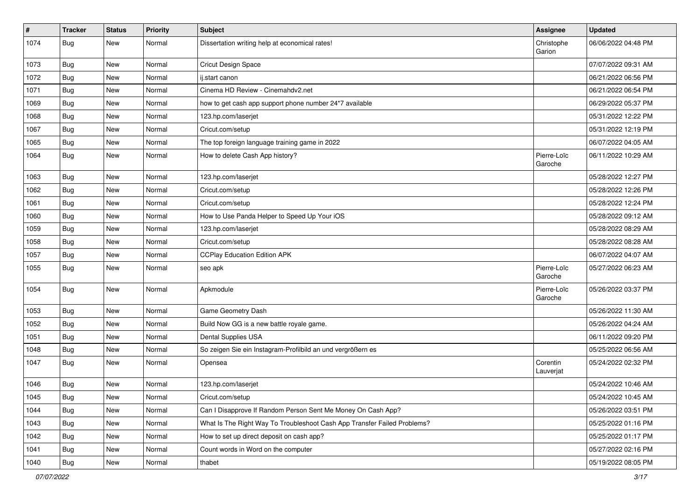| $\vert$ # | <b>Tracker</b> | <b>Status</b> | <b>Priority</b> | Subject                                                                  | <b>Assignee</b>        | <b>Updated</b>      |
|-----------|----------------|---------------|-----------------|--------------------------------------------------------------------------|------------------------|---------------------|
| 1074      | Bug            | New           | Normal          | Dissertation writing help at economical rates!                           | Christophe<br>Garion   | 06/06/2022 04:48 PM |
| 1073      | Bug            | <b>New</b>    | Normal          | Cricut Design Space                                                      |                        | 07/07/2022 09:31 AM |
| 1072      | Bug            | New           | Normal          | ij.start canon                                                           |                        | 06/21/2022 06:56 PM |
| 1071      | Bug            | <b>New</b>    | Normal          | Cinema HD Review - Cinemahdv2.net                                        |                        | 06/21/2022 06:54 PM |
| 1069      | Bug            | New           | Normal          | how to get cash app support phone number 24*7 available                  |                        | 06/29/2022 05:37 PM |
| 1068      | Bug            | New           | Normal          | 123.hp.com/laserjet                                                      |                        | 05/31/2022 12:22 PM |
| 1067      | Bug            | New           | Normal          | Cricut.com/setup                                                         |                        | 05/31/2022 12:19 PM |
| 1065      | <b>Bug</b>     | New           | Normal          | The top foreign language training game in 2022                           |                        | 06/07/2022 04:05 AM |
| 1064      | Bug            | New           | Normal          | How to delete Cash App history?                                          | Pierre-Loïc<br>Garoche | 06/11/2022 10:29 AM |
| 1063      | Bug            | <b>New</b>    | Normal          | 123.hp.com/laserjet                                                      |                        | 05/28/2022 12:27 PM |
| 1062      | Bug            | <b>New</b>    | Normal          | Cricut.com/setup                                                         |                        | 05/28/2022 12:26 PM |
| 1061      | Bug            | New           | Normal          | Cricut.com/setup                                                         |                        | 05/28/2022 12:24 PM |
| 1060      | Bug            | <b>New</b>    | Normal          | How to Use Panda Helper to Speed Up Your iOS                             |                        | 05/28/2022 09:12 AM |
| 1059      | Bug            | New           | Normal          | 123.hp.com/laseriet                                                      |                        | 05/28/2022 08:29 AM |
| 1058      | Bug            | New           | Normal          | Cricut.com/setup                                                         |                        | 05/28/2022 08:28 AM |
| 1057      | Bug            | <b>New</b>    | Normal          | <b>CCPlay Education Edition APK</b>                                      |                        | 06/07/2022 04:07 AM |
| 1055      | Bug            | New           | Normal          | seo apk                                                                  | Pierre-Loïc<br>Garoche | 05/27/2022 06:23 AM |
| 1054      | Bug            | <b>New</b>    | Normal          | Apkmodule                                                                | Pierre-Loïc<br>Garoche | 05/26/2022 03:37 PM |
| 1053      | Bug            | <b>New</b>    | Normal          | Game Geometry Dash                                                       |                        | 05/26/2022 11:30 AM |
| 1052      | Bug            | New           | Normal          | Build Now GG is a new battle royale game.                                |                        | 05/26/2022 04:24 AM |
| 1051      | <b>Bug</b>     | New           | Normal          | Dental Supplies USA                                                      |                        | 06/11/2022 09:20 PM |
| 1048      | Bug            | <b>New</b>    | Normal          | So zeigen Sie ein Instagram-Profilbild an und vergrößern es              |                        | 05/25/2022 06:56 AM |
| 1047      | Bug            | New           | Normal          | Opensea                                                                  | Corentin<br>Lauverjat  | 05/24/2022 02:32 PM |
| 1046      | Bug            | <b>New</b>    | Normal          | 123.hp.com/laserjet                                                      |                        | 05/24/2022 10:46 AM |
| 1045      | Bug            | New           | Normal          | Cricut.com/setup                                                         |                        | 05/24/2022 10:45 AM |
| 1044      | <b>Bug</b>     | <b>New</b>    | Normal          | Can I Disapprove If Random Person Sent Me Money On Cash App?             |                        | 05/26/2022 03:51 PM |
| 1043      | Bug            | New           | Normal          | What Is The Right Way To Troubleshoot Cash App Transfer Failed Problems? |                        | 05/25/2022 01:16 PM |
| 1042      | Bug            | New           | Normal          | How to set up direct deposit on cash app?                                |                        | 05/25/2022 01:17 PM |
| 1041      | Bug            | New           | Normal          | Count words in Word on the computer                                      |                        | 05/27/2022 02:16 PM |
| 1040      | Bug            | New           | Normal          | thabet                                                                   |                        | 05/19/2022 08:05 PM |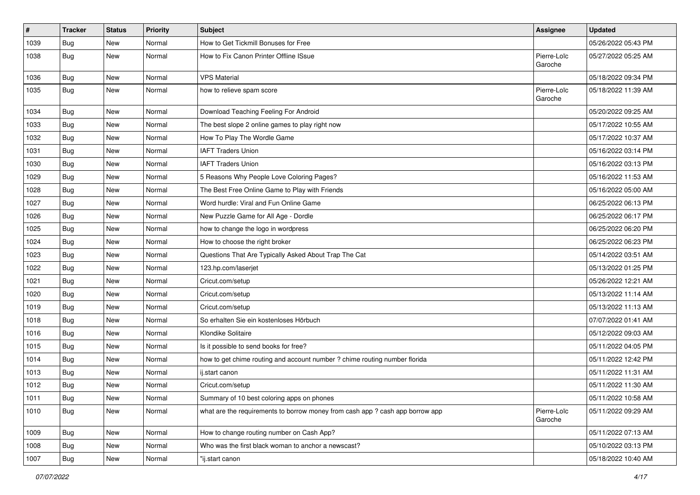| $\vert$ # | <b>Tracker</b> | <b>Status</b> | <b>Priority</b> | Subject                                                                       | Assignee               | <b>Updated</b>      |
|-----------|----------------|---------------|-----------------|-------------------------------------------------------------------------------|------------------------|---------------------|
| 1039      | <b>Bug</b>     | New           | Normal          | How to Get Tickmill Bonuses for Free                                          |                        | 05/26/2022 05:43 PM |
| 1038      | Bug            | New           | Normal          | How to Fix Canon Printer Offline ISsue                                        | Pierre-Loïc<br>Garoche | 05/27/2022 05:25 AM |
| 1036      | Bug            | <b>New</b>    | Normal          | <b>VPS Material</b>                                                           |                        | 05/18/2022 09:34 PM |
| 1035      | <b>Bug</b>     | <b>New</b>    | Normal          | how to relieve spam score                                                     | Pierre-Loïc<br>Garoche | 05/18/2022 11:39 AM |
| 1034      | Bug            | <b>New</b>    | Normal          | Download Teaching Feeling For Android                                         |                        | 05/20/2022 09:25 AM |
| 1033      | Bug            | <b>New</b>    | Normal          | The best slope 2 online games to play right now                               |                        | 05/17/2022 10:55 AM |
| 1032      | <b>Bug</b>     | <b>New</b>    | Normal          | How To Play The Wordle Game                                                   |                        | 05/17/2022 10:37 AM |
| 1031      | Bug            | <b>New</b>    | Normal          | <b>IAFT Traders Union</b>                                                     |                        | 05/16/2022 03:14 PM |
| 1030      | Bug            | <b>New</b>    | Normal          | <b>IAFT Traders Union</b>                                                     |                        | 05/16/2022 03:13 PM |
| 1029      | Bug            | <b>New</b>    | Normal          | 5 Reasons Why People Love Coloring Pages?                                     |                        | 05/16/2022 11:53 AM |
| 1028      | Bug            | New           | Normal          | The Best Free Online Game to Play with Friends                                |                        | 05/16/2022 05:00 AM |
| 1027      | Bug            | New           | Normal          | Word hurdle: Viral and Fun Online Game                                        |                        | 06/25/2022 06:13 PM |
| 1026      | Bug            | <b>New</b>    | Normal          | New Puzzle Game for All Age - Dordle                                          |                        | 06/25/2022 06:17 PM |
| 1025      | Bug            | New           | Normal          | how to change the logo in wordpress                                           |                        | 06/25/2022 06:20 PM |
| 1024      | <b>Bug</b>     | New           | Normal          | How to choose the right broker                                                |                        | 06/25/2022 06:23 PM |
| 1023      | Bug            | <b>New</b>    | Normal          | Questions That Are Typically Asked About Trap The Cat                         |                        | 05/14/2022 03:51 AM |
| 1022      | <b>Bug</b>     | New           | Normal          | 123.hp.com/laserjet                                                           |                        | 05/13/2022 01:25 PM |
| 1021      | Bug            | <b>New</b>    | Normal          | Cricut.com/setup                                                              |                        | 05/26/2022 12:21 AM |
| 1020      | Bug            | New           | Normal          | Cricut.com/setup                                                              |                        | 05/13/2022 11:14 AM |
| 1019      | <b>Bug</b>     | New           | Normal          | Cricut.com/setup                                                              |                        | 05/13/2022 11:13 AM |
| 1018      | Bug            | <b>New</b>    | Normal          | So erhalten Sie ein kostenloses Hörbuch                                       |                        | 07/07/2022 01:41 AM |
| 1016      | Bug            | New           | Normal          | Klondike Solitaire                                                            |                        | 05/12/2022 09:03 AM |
| 1015      | Bug            | New           | Normal          | Is it possible to send books for free?                                        |                        | 05/11/2022 04:05 PM |
| 1014      | Bug            | New           | Normal          | how to get chime routing and account number ? chime routing number florida    |                        | 05/11/2022 12:42 PM |
| 1013      | <b>Bug</b>     | New           | Normal          | ij.start canon                                                                |                        | 05/11/2022 11:31 AM |
| 1012      | Bug            | New           | Normal          | Cricut.com/setup                                                              |                        | 05/11/2022 11:30 AM |
| 1011      | Bug            | New           | Normal          | Summary of 10 best coloring apps on phones                                    |                        | 05/11/2022 10:58 AM |
| 1010      | Bug            | New           | Normal          | what are the requirements to borrow money from cash app ? cash app borrow app | Pierre-Loïc<br>Garoche | 05/11/2022 09:29 AM |
| 1009      | i Bug          | New           | Normal          | How to change routing number on Cash App?                                     |                        | 05/11/2022 07:13 AM |
| 1008      | <b>Bug</b>     | New           | Normal          | Who was the first black woman to anchor a newscast?                           |                        | 05/10/2022 03:13 PM |
| 1007      | Bug            | New           | Normal          | "ij.start canon                                                               |                        | 05/18/2022 10:40 AM |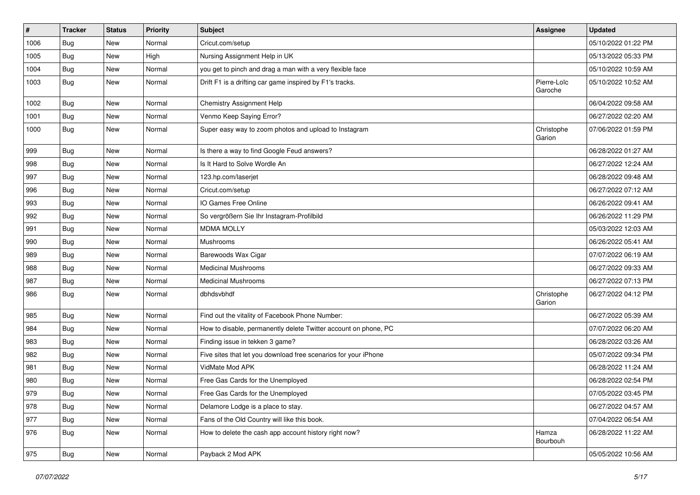| $\pmb{\#}$ | <b>Tracker</b> | <b>Status</b> | <b>Priority</b> | <b>Subject</b>                                                  | Assignee               | <b>Updated</b>      |
|------------|----------------|---------------|-----------------|-----------------------------------------------------------------|------------------------|---------------------|
| 1006       | Bug            | New           | Normal          | Cricut.com/setup                                                |                        | 05/10/2022 01:22 PM |
| 1005       | <b>Bug</b>     | <b>New</b>    | High            | Nursing Assignment Help in UK                                   |                        | 05/13/2022 05:33 PM |
| 1004       | Bug            | New           | Normal          | you get to pinch and drag a man with a very flexible face       |                        | 05/10/2022 10:59 AM |
| 1003       | Bug            | New           | Normal          | Drift F1 is a drifting car game inspired by F1's tracks.        | Pierre-Loïc<br>Garoche | 05/10/2022 10:52 AM |
| 1002       | Bug            | New           | Normal          | Chemistry Assignment Help                                       |                        | 06/04/2022 09:58 AM |
| 1001       | <b>Bug</b>     | <b>New</b>    | Normal          | Venmo Keep Saying Error?                                        |                        | 06/27/2022 02:20 AM |
| 1000       | Bug            | New           | Normal          | Super easy way to zoom photos and upload to Instagram           | Christophe<br>Garion   | 07/06/2022 01:59 PM |
| 999        | Bug            | <b>New</b>    | Normal          | Is there a way to find Google Feud answers?                     |                        | 06/28/2022 01:27 AM |
| 998        | Bug            | New           | Normal          | Is It Hard to Solve Wordle An                                   |                        | 06/27/2022 12:24 AM |
| 997        | <b>Bug</b>     | New           | Normal          | 123.hp.com/laserjet                                             |                        | 06/28/2022 09:48 AM |
| 996        | Bug            | <b>New</b>    | Normal          | Cricut.com/setup                                                |                        | 06/27/2022 07:12 AM |
| 993        | <b>Bug</b>     | New           | Normal          | IO Games Free Online                                            |                        | 06/26/2022 09:41 AM |
| 992        | <b>Bug</b>     | <b>New</b>    | Normal          | So vergrößern Sie Ihr Instagram-Profilbild                      |                        | 06/26/2022 11:29 PM |
| 991        | Bug            | New           | Normal          | <b>MDMA MOLLY</b>                                               |                        | 05/03/2022 12:03 AM |
| 990        | <b>Bug</b>     | New           | Normal          | Mushrooms                                                       |                        | 06/26/2022 05:41 AM |
| 989        | Bug            | <b>New</b>    | Normal          | Barewoods Wax Cigar                                             |                        | 07/07/2022 06:19 AM |
| 988        | <b>Bug</b>     | New           | Normal          | <b>Medicinal Mushrooms</b>                                      |                        | 06/27/2022 09:33 AM |
| 987        | <b>Bug</b>     | <b>New</b>    | Normal          | <b>Medicinal Mushrooms</b>                                      |                        | 06/27/2022 07:13 PM |
| 986        | <b>Bug</b>     | New           | Normal          | dbhdsvbhdf                                                      | Christophe<br>Garion   | 06/27/2022 04:12 PM |
| 985        | <b>Bug</b>     | <b>New</b>    | Normal          | Find out the vitality of Facebook Phone Number:                 |                        | 06/27/2022 05:39 AM |
| 984        | Bug            | New           | Normal          | How to disable, permanently delete Twitter account on phone, PC |                        | 07/07/2022 06:20 AM |
| 983        | <b>Bug</b>     | New           | Normal          | Finding issue in tekken 3 game?                                 |                        | 06/28/2022 03:26 AM |
| 982        | <b>Bug</b>     | <b>New</b>    | Normal          | Five sites that let you download free scenarios for your iPhone |                        | 05/07/2022 09:34 PM |
| 981        | <b>Bug</b>     | New           | Normal          | VidMate Mod APK                                                 |                        | 06/28/2022 11:24 AM |
| 980        | <b>Bug</b>     | New           | Normal          | Free Gas Cards for the Unemployed                               |                        | 06/28/2022 02:54 PM |
| 979        | Bug            | New           | Normal          | Free Gas Cards for the Unemployed                               |                        | 07/05/2022 03:45 PM |
| 978        | Bug            | New           | Normal          | Delamore Lodge is a place to stay.                              |                        | 06/27/2022 04:57 AM |
| 977        | Bug            | New           | Normal          | Fans of the Old Country will like this book.                    |                        | 07/04/2022 06:54 AM |
| 976        | Bug            | New           | Normal          | How to delete the cash app account history right now?           | Hamza<br>Bourbouh      | 06/28/2022 11:22 AM |
| 975        | Bug            | New           | Normal          | Payback 2 Mod APK                                               |                        | 05/05/2022 10:56 AM |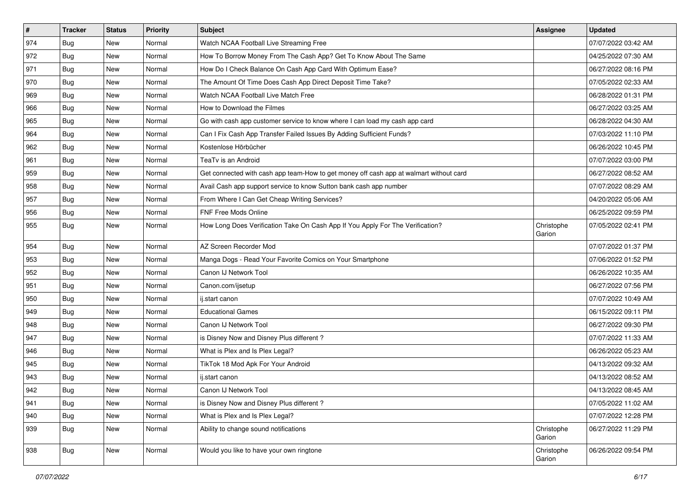| $\vert$ # | <b>Tracker</b> | <b>Status</b> | <b>Priority</b> | <b>Subject</b>                                                                         | <b>Assignee</b>      | <b>Updated</b>      |
|-----------|----------------|---------------|-----------------|----------------------------------------------------------------------------------------|----------------------|---------------------|
| 974       | <b>Bug</b>     | New           | Normal          | Watch NCAA Football Live Streaming Free                                                |                      | 07/07/2022 03:42 AM |
| 972       | <b>Bug</b>     | New           | Normal          | How To Borrow Money From The Cash App? Get To Know About The Same                      |                      | 04/25/2022 07:30 AM |
| 971       | Bug            | New           | Normal          | How Do I Check Balance On Cash App Card With Optimum Ease?                             |                      | 06/27/2022 08:16 PM |
| 970       | <b>Bug</b>     | New           | Normal          | The Amount Of Time Does Cash App Direct Deposit Time Take?                             |                      | 07/05/2022 02:33 AM |
| 969       | Bug            | New           | Normal          | Watch NCAA Football Live Match Free                                                    |                      | 06/28/2022 01:31 PM |
| 966       | <b>Bug</b>     | New           | Normal          | How to Download the Filmes                                                             |                      | 06/27/2022 03:25 AM |
| 965       | Bug            | New           | Normal          | Go with cash app customer service to know where I can load my cash app card            |                      | 06/28/2022 04:30 AM |
| 964       | <b>Bug</b>     | New           | Normal          | Can I Fix Cash App Transfer Failed Issues By Adding Sufficient Funds?                  |                      | 07/03/2022 11:10 PM |
| 962       | <b>Bug</b>     | New           | Normal          | Kostenlose Hörbücher                                                                   |                      | 06/26/2022 10:45 PM |
| 961       | Bug            | New           | Normal          | TeaTv is an Android                                                                    |                      | 07/07/2022 03:00 PM |
| 959       | <b>Bug</b>     | New           | Normal          | Get connected with cash app team-How to get money off cash app at walmart without card |                      | 06/27/2022 08:52 AM |
| 958       | Bug            | New           | Normal          | Avail Cash app support service to know Sutton bank cash app number                     |                      | 07/07/2022 08:29 AM |
| 957       | Bug            | New           | Normal          | From Where I Can Get Cheap Writing Services?                                           |                      | 04/20/2022 05:06 AM |
| 956       | <b>Bug</b>     | New           | Normal          | FNF Free Mods Online                                                                   |                      | 06/25/2022 09:59 PM |
| 955       | <b>Bug</b>     | New           | Normal          | How Long Does Verification Take On Cash App If You Apply For The Verification?         | Christophe<br>Garion | 07/05/2022 02:41 PM |
| 954       | <b>Bug</b>     | New           | Normal          | AZ Screen Recorder Mod                                                                 |                      | 07/07/2022 01:37 PM |
| 953       | Bug            | New           | Normal          | Manga Dogs - Read Your Favorite Comics on Your Smartphone                              |                      | 07/06/2022 01:52 PM |
| 952       | <b>Bug</b>     | New           | Normal          | Canon IJ Network Tool                                                                  |                      | 06/26/2022 10:35 AM |
| 951       | Bug            | New           | Normal          | Canon.com/ijsetup                                                                      |                      | 06/27/2022 07:56 PM |
| 950       | Bug            | <b>New</b>    | Normal          | ij.start canon                                                                         |                      | 07/07/2022 10:49 AM |
| 949       | <b>Bug</b>     | New           | Normal          | <b>Educational Games</b>                                                               |                      | 06/15/2022 09:11 PM |
| 948       | Bug            | New           | Normal          | Canon IJ Network Tool                                                                  |                      | 06/27/2022 09:30 PM |
| 947       | <b>Bug</b>     | New           | Normal          | is Disney Now and Disney Plus different?                                               |                      | 07/07/2022 11:33 AM |
| 946       | Bug            | New           | Normal          | What is Plex and Is Plex Legal?                                                        |                      | 06/26/2022 05:23 AM |
| 945       | Bug            | New           | Normal          | TikTok 18 Mod Apk For Your Android                                                     |                      | 04/13/2022 09:32 AM |
| 943       | Bug            | New           | Normal          | ij.start canon                                                                         |                      | 04/13/2022 08:52 AM |
| 942       | <b>Bug</b>     | New           | Normal          | Canon IJ Network Tool                                                                  |                      | 04/13/2022 08:45 AM |
| 941       | Bug            | New           | Normal          | is Disney Now and Disney Plus different?                                               |                      | 07/05/2022 11:02 AM |
| 940       | Bug            | New           | Normal          | What is Plex and Is Plex Legal?                                                        |                      | 07/07/2022 12:28 PM |
| 939       | <b>Bug</b>     | New           | Normal          | Ability to change sound notifications                                                  | Christophe<br>Garion | 06/27/2022 11:29 PM |
| 938       | <b>Bug</b>     | New           | Normal          | Would you like to have your own ringtone                                               | Christophe<br>Garion | 06/26/2022 09:54 PM |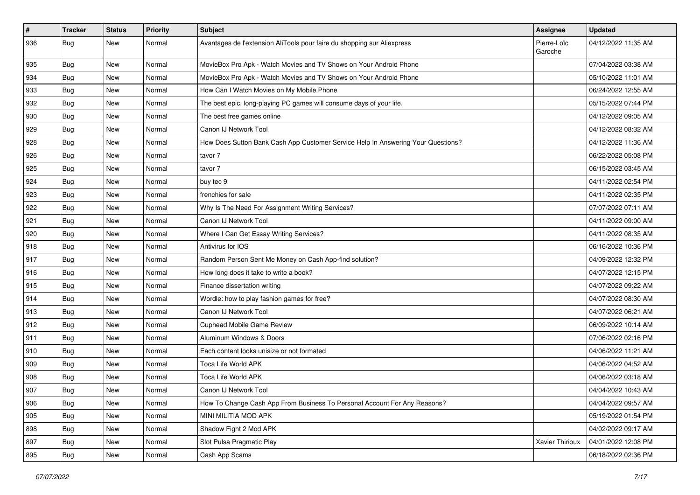| $\vert$ # | <b>Tracker</b> | <b>Status</b> | Priority | Subject                                                                          | <b>Assignee</b>        | <b>Updated</b>      |
|-----------|----------------|---------------|----------|----------------------------------------------------------------------------------|------------------------|---------------------|
| 936       | Bug            | New           | Normal   | Avantages de l'extension AliTools pour faire du shopping sur Aliexpress          | Pierre-Loïc<br>Garoche | 04/12/2022 11:35 AM |
| 935       | Bug            | New           | Normal   | MovieBox Pro Apk - Watch Movies and TV Shows on Your Android Phone               |                        | 07/04/2022 03:38 AM |
| 934       | <b>Bug</b>     | New           | Normal   | MovieBox Pro Apk - Watch Movies and TV Shows on Your Android Phone               |                        | 05/10/2022 11:01 AM |
| 933       | Bug            | New           | Normal   | How Can I Watch Movies on My Mobile Phone                                        |                        | 06/24/2022 12:55 AM |
| 932       | Bug            | New           | Normal   | The best epic, long-playing PC games will consume days of your life.             |                        | 05/15/2022 07:44 PM |
| 930       | Bug            | New           | Normal   | The best free games online                                                       |                        | 04/12/2022 09:05 AM |
| 929       | <b>Bug</b>     | New           | Normal   | Canon IJ Network Tool                                                            |                        | 04/12/2022 08:32 AM |
| 928       | Bug            | New           | Normal   | How Does Sutton Bank Cash App Customer Service Help In Answering Your Questions? |                        | 04/12/2022 11:36 AM |
| 926       | <b>Bug</b>     | New           | Normal   | tavor 7                                                                          |                        | 06/22/2022 05:08 PM |
| 925       | Bug            | New           | Normal   | tavor 7                                                                          |                        | 06/15/2022 03:45 AM |
| 924       | Bug            | New           | Normal   | buy tec 9                                                                        |                        | 04/11/2022 02:54 PM |
| 923       | Bug            | New           | Normal   | frenchies for sale                                                               |                        | 04/11/2022 02:35 PM |
| 922       | Bug            | New           | Normal   | Why Is The Need For Assignment Writing Services?                                 |                        | 07/07/2022 07:11 AM |
| 921       | Bug            | New           | Normal   | Canon IJ Network Tool                                                            |                        | 04/11/2022 09:00 AM |
| 920       | Bug            | New           | Normal   | Where I Can Get Essay Writing Services?                                          |                        | 04/11/2022 08:35 AM |
| 918       | <b>Bug</b>     | New           | Normal   | Antivirus for IOS                                                                |                        | 06/16/2022 10:36 PM |
| 917       | Bug            | New           | Normal   | Random Person Sent Me Money on Cash App-find solution?                           |                        | 04/09/2022 12:32 PM |
| 916       | Bug            | New           | Normal   | How long does it take to write a book?                                           |                        | 04/07/2022 12:15 PM |
| 915       | Bug            | New           | Normal   | Finance dissertation writing                                                     |                        | 04/07/2022 09:22 AM |
| 914       | Bug            | New           | Normal   | Wordle: how to play fashion games for free?                                      |                        | 04/07/2022 08:30 AM |
| 913       | Bug            | New           | Normal   | Canon IJ Network Tool                                                            |                        | 04/07/2022 06:21 AM |
| 912       | Bug            | New           | Normal   | Cuphead Mobile Game Review                                                       |                        | 06/09/2022 10:14 AM |
| 911       | Bug            | New           | Normal   | Aluminum Windows & Doors                                                         |                        | 07/06/2022 02:16 PM |
| 910       | Bug            | New           | Normal   | Each content looks unisize or not formated                                       |                        | 04/06/2022 11:21 AM |
| 909       | Bug            | New           | Normal   | <b>Toca Life World APK</b>                                                       |                        | 04/06/2022 04:52 AM |
| 908       | Bug            | New           | Normal   | <b>Toca Life World APK</b>                                                       |                        | 04/06/2022 03:18 AM |
| 907       | <b>Bug</b>     | New           | Normal   | Canon IJ Network Tool                                                            |                        | 04/04/2022 10:43 AM |
| 906       | Bug            | New           | Normal   | How To Change Cash App From Business To Personal Account For Any Reasons?        |                        | 04/04/2022 09:57 AM |
| 905       | Bug            | New           | Normal   | MINI MILITIA MOD APK                                                             |                        | 05/19/2022 01:54 PM |
| 898       | Bug            | New           | Normal   | Shadow Fight 2 Mod APK                                                           |                        | 04/02/2022 09:17 AM |
| 897       | <b>Bug</b>     | New           | Normal   | Slot Pulsa Pragmatic Play                                                        | Xavier Thirioux        | 04/01/2022 12:08 PM |
| 895       | Bug            | New           | Normal   | Cash App Scams                                                                   |                        | 06/18/2022 02:36 PM |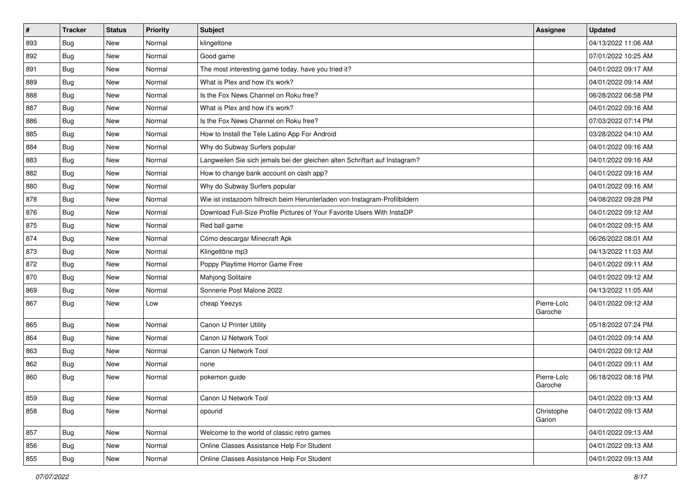| $\sharp$ | <b>Tracker</b> | <b>Status</b> | Priority | Subject                                                                     | <b>Assignee</b>        | <b>Updated</b>      |
|----------|----------------|---------------|----------|-----------------------------------------------------------------------------|------------------------|---------------------|
| 893      | Bug            | New           | Normal   | klingeltone                                                                 |                        | 04/13/2022 11:06 AM |
| 892      | Bug            | <b>New</b>    | Normal   | Good game                                                                   |                        | 07/01/2022 10:25 AM |
| 891      | Bug            | New           | Normal   | The most interesting game today, have you tried it?                         |                        | 04/01/2022 09:17 AM |
| 889      | Bug            | New           | Normal   | What is Plex and how it's work?                                             |                        | 04/01/2022 09:14 AM |
| 888      | Bug            | New           | Normal   | Is the Fox News Channel on Roku free?                                       |                        | 06/28/2022 06:58 PM |
| 887      | Bug            | New           | Normal   | What is Plex and how it's work?                                             |                        | 04/01/2022 09:16 AM |
| 886      | Bug            | <b>New</b>    | Normal   | Is the Fox News Channel on Roku free?                                       |                        | 07/03/2022 07:14 PM |
| 885      | <b>Bug</b>     | New           | Normal   | How to Install the Tele Latino App For Android                              |                        | 03/28/2022 04:10 AM |
| 884      | <b>Bug</b>     | New           | Normal   | Why do Subway Surfers popular                                               |                        | 04/01/2022 09:16 AM |
| 883      | Bug            | New           | Normal   | Langweilen Sie sich jemals bei der gleichen alten Schriftart auf Instagram? |                        | 04/01/2022 09:16 AM |
| 882      | <b>Bug</b>     | New           | Normal   | How to change bank account on cash app?                                     |                        | 04/01/2022 09:16 AM |
| 880      | Bug            | New           | Normal   | Why do Subway Surfers popular                                               |                        | 04/01/2022 09:16 AM |
| 878      | Bug            | New           | Normal   | Wie ist instazoom hilfreich beim Herunterladen von Instagram-Profilbildern  |                        | 04/08/2022 09:28 PM |
| 876      | <b>Bug</b>     | New           | Normal   | Download Full-Size Profile Pictures of Your Favorite Users With InstaDP     |                        | 04/01/2022 09:12 AM |
| 875      | Bug            | New           | Normal   | Red ball game                                                               |                        | 04/01/2022 09:15 AM |
| 874      | <b>Bug</b>     | New           | Normal   | Cómo descargar Minecraft Apk                                                |                        | 06/26/2022 08:01 AM |
| 873      | Bug            | New           | Normal   | Klingeltöne mp3                                                             |                        | 04/13/2022 11:03 AM |
| 872      | <b>Bug</b>     | New           | Normal   | Poppy Playtime Horror Game Free                                             |                        | 04/01/2022 09:11 AM |
| 870      | Bug            | New           | Normal   | Mahjong Solitaire                                                           |                        | 04/01/2022 09:12 AM |
| 869      | <b>Bug</b>     | New           | Normal   | Sonnerie Post Malone 2022                                                   |                        | 04/13/2022 11:05 AM |
| 867      | <b>Bug</b>     | New           | Low      | cheap Yeezys                                                                | Pierre-Loïc<br>Garoche | 04/01/2022 09:12 AM |
| 865      | Bug            | New           | Normal   | Canon IJ Printer Utility                                                    |                        | 05/18/2022 07:24 PM |
| 864      | <b>Bug</b>     | New           | Normal   | Canon IJ Network Tool                                                       |                        | 04/01/2022 09:14 AM |
| 863      | Bug            | New           | Normal   | Canon IJ Network Tool                                                       |                        | 04/01/2022 09:12 AM |
| 862      | <b>Bug</b>     | New           | Normal   | none                                                                        |                        | 04/01/2022 09:11 AM |
| 860      | <b>Bug</b>     | New           | Normal   | pokemon guide                                                               | Pierre-Loïc<br>Garoche | 06/18/2022 08:18 PM |
| 859      | Bug            | New           | Normal   | Canon IJ Network Tool                                                       |                        | 04/01/2022 09:13 AM |
| 858      | Bug            | New           | Normal   | opourid                                                                     | Christophe<br>Garion   | 04/01/2022 09:13 AM |
| 857      | Bug            | New           | Normal   | Welcome to the world of classic retro games                                 |                        | 04/01/2022 09:13 AM |
| 856      | <b>Bug</b>     | New           | Normal   | Online Classes Assistance Help For Student                                  |                        | 04/01/2022 09:13 AM |
| 855      | <b>Bug</b>     | New           | Normal   | Online Classes Assistance Help For Student                                  |                        | 04/01/2022 09:13 AM |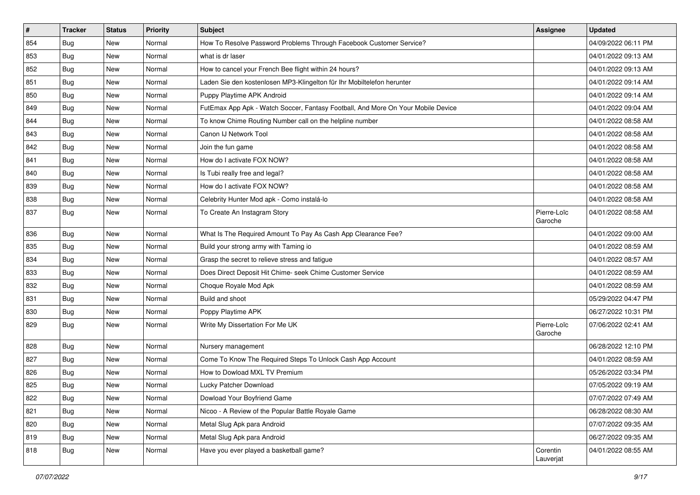| #   | <b>Tracker</b> | <b>Status</b> | Priority | Subject                                                                          | Assignee               | <b>Updated</b>      |
|-----|----------------|---------------|----------|----------------------------------------------------------------------------------|------------------------|---------------------|
| 854 | <b>Bug</b>     | New           | Normal   | How To Resolve Password Problems Through Facebook Customer Service?              |                        | 04/09/2022 06:11 PM |
| 853 | Bug            | <b>New</b>    | Normal   | what is dr laser                                                                 |                        | 04/01/2022 09:13 AM |
| 852 | <b>Bug</b>     | New           | Normal   | How to cancel your French Bee flight within 24 hours?                            |                        | 04/01/2022 09:13 AM |
| 851 | <b>Bug</b>     | New           | Normal   | Laden Sie den kostenlosen MP3-Klingelton für Ihr Mobiltelefon herunter           |                        | 04/01/2022 09:14 AM |
| 850 | Bug            | <b>New</b>    | Normal   | Puppy Playtime APK Android                                                       |                        | 04/01/2022 09:14 AM |
| 849 | <b>Bug</b>     | New           | Normal   | FutEmax App Apk - Watch Soccer, Fantasy Football, And More On Your Mobile Device |                        | 04/01/2022 09:04 AM |
| 844 | <b>Bug</b>     | New           | Normal   | To know Chime Routing Number call on the helpline number                         |                        | 04/01/2022 08:58 AM |
| 843 | Bug            | New           | Normal   | Canon IJ Network Tool                                                            |                        | 04/01/2022 08:58 AM |
| 842 | Bug            | New           | Normal   | Join the fun game                                                                |                        | 04/01/2022 08:58 AM |
| 841 | Bug            | New           | Normal   | How do I activate FOX NOW?                                                       |                        | 04/01/2022 08:58 AM |
| 840 | Bug            | New           | Normal   | Is Tubi really free and legal?                                                   |                        | 04/01/2022 08:58 AM |
| 839 | <b>Bug</b>     | New           | Normal   | How do I activate FOX NOW?                                                       |                        | 04/01/2022 08:58 AM |
| 838 | Bug            | <b>New</b>    | Normal   | Celebrity Hunter Mod apk - Como instalá-lo                                       |                        | 04/01/2022 08:58 AM |
| 837 | <b>Bug</b>     | New           | Normal   | To Create An Instagram Story                                                     | Pierre-Loïc<br>Garoche | 04/01/2022 08:58 AM |
| 836 | Bug            | <b>New</b>    | Normal   | What Is The Required Amount To Pay As Cash App Clearance Fee?                    |                        | 04/01/2022 09:00 AM |
| 835 | <b>Bug</b>     | New           | Normal   | Build your strong army with Taming io                                            |                        | 04/01/2022 08:59 AM |
| 834 | Bug            | <b>New</b>    | Normal   | Grasp the secret to relieve stress and fatigue                                   |                        | 04/01/2022 08:57 AM |
| 833 | Bug            | New           | Normal   | Does Direct Deposit Hit Chime- seek Chime Customer Service                       |                        | 04/01/2022 08:59 AM |
| 832 | <b>Bug</b>     | New           | Normal   | Choque Royale Mod Apk                                                            |                        | 04/01/2022 08:59 AM |
| 831 | Bug            | <b>New</b>    | Normal   | Build and shoot                                                                  |                        | 05/29/2022 04:47 PM |
| 830 | Bug            | New           | Normal   | Poppy Playtime APK                                                               |                        | 06/27/2022 10:31 PM |
| 829 | <b>Bug</b>     | New           | Normal   | Write My Dissertation For Me UK                                                  | Pierre-Loïc<br>Garoche | 07/06/2022 02:41 AM |
| 828 | Bug            | New           | Normal   | Nursery management                                                               |                        | 06/28/2022 12:10 PM |
| 827 | <b>Bug</b>     | New           | Normal   | Come To Know The Required Steps To Unlock Cash App Account                       |                        | 04/01/2022 08:59 AM |
| 826 | Bug            | New           | Normal   | How to Dowload MXL TV Premium                                                    |                        | 05/26/2022 03:34 PM |
| 825 | <b>Bug</b>     | New           | Normal   | Lucky Patcher Download                                                           |                        | 07/05/2022 09:19 AM |
| 822 | Bug            | New           | Normal   | Dowload Your Boyfriend Game                                                      |                        | 07/07/2022 07:49 AM |
| 821 | <b>Bug</b>     | New           | Normal   | Nicoo - A Review of the Popular Battle Royale Game                               |                        | 06/28/2022 08:30 AM |
| 820 | <b>Bug</b>     | New           | Normal   | Metal Slug Apk para Android                                                      |                        | 07/07/2022 09:35 AM |
| 819 | <b>Bug</b>     | New           | Normal   | Metal Slug Apk para Android                                                      |                        | 06/27/2022 09:35 AM |
| 818 | <b>Bug</b>     | New           | Normal   | Have you ever played a basketball game?                                          | Corentin<br>Lauverjat  | 04/01/2022 08:55 AM |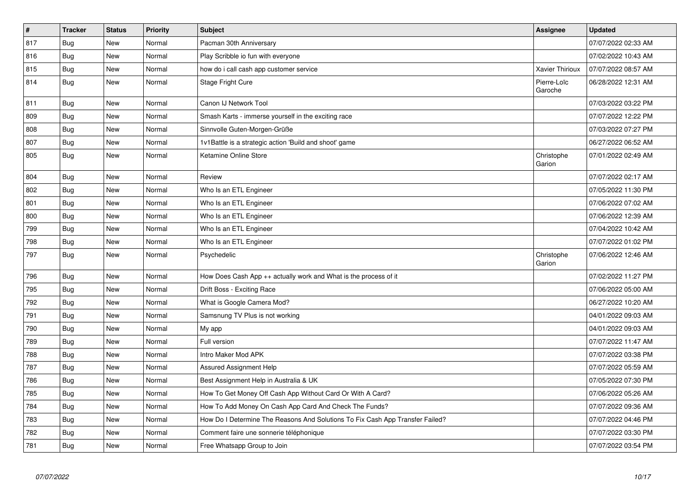| $\vert$ # | <b>Tracker</b> | <b>Status</b> | Priority | <b>Subject</b>                                                                | Assignee               | <b>Updated</b>      |
|-----------|----------------|---------------|----------|-------------------------------------------------------------------------------|------------------------|---------------------|
| 817       | Bug            | <b>New</b>    | Normal   | Pacman 30th Anniversary                                                       |                        | 07/07/2022 02:33 AM |
| 816       | Bug            | <b>New</b>    | Normal   | Play Scribble io fun with everyone                                            |                        | 07/02/2022 10:43 AM |
| 815       | <b>Bug</b>     | New           | Normal   | how do i call cash app customer service                                       | Xavier Thirioux        | 07/07/2022 08:57 AM |
| 814       | <b>Bug</b>     | <b>New</b>    | Normal   | Stage Fright Cure                                                             | Pierre-Loïc<br>Garoche | 06/28/2022 12:31 AM |
| 811       | <b>Bug</b>     | <b>New</b>    | Normal   | Canon IJ Network Tool                                                         |                        | 07/03/2022 03:22 PM |
| 809       | Bug            | <b>New</b>    | Normal   | Smash Karts - immerse yourself in the exciting race                           |                        | 07/07/2022 12:22 PM |
| 808       | Bug            | New           | Normal   | Sinnvolle Guten-Morgen-Grüße                                                  |                        | 07/03/2022 07:27 PM |
| 807       | Bug            | <b>New</b>    | Normal   | 1v1Battle is a strategic action 'Build and shoot' game                        |                        | 06/27/2022 06:52 AM |
| 805       | Bug            | New           | Normal   | Ketamine Online Store                                                         | Christophe<br>Garion   | 07/01/2022 02:49 AM |
| 804       | <b>Bug</b>     | <b>New</b>    | Normal   | Review                                                                        |                        | 07/07/2022 02:17 AM |
| 802       | Bug            | <b>New</b>    | Normal   | Who Is an ETL Engineer                                                        |                        | 07/05/2022 11:30 PM |
| 801       | Bug            | <b>New</b>    | Normal   | Who Is an ETL Engineer                                                        |                        | 07/06/2022 07:02 AM |
| 800       | Bug            | New           | Normal   | Who Is an ETL Engineer                                                        |                        | 07/06/2022 12:39 AM |
| 799       | <b>Bug</b>     | New           | Normal   | Who Is an ETL Engineer                                                        |                        | 07/04/2022 10:42 AM |
| 798       | Bug            | New           | Normal   | Who Is an ETL Engineer                                                        |                        | 07/07/2022 01:02 PM |
| 797       | <b>Bug</b>     | New           | Normal   | Psychedelic                                                                   | Christophe<br>Garion   | 07/06/2022 12:46 AM |
| 796       | Bug            | New           | Normal   | How Does Cash App ++ actually work and What is the process of it              |                        | 07/02/2022 11:27 PM |
| 795       | Bug            | <b>New</b>    | Normal   | Drift Boss - Exciting Race                                                    |                        | 07/06/2022 05:00 AM |
| 792       | Bug            | New           | Normal   | What is Google Camera Mod?                                                    |                        | 06/27/2022 10:20 AM |
| 791       | <b>Bug</b>     | New           | Normal   | Samsnung TV Plus is not working                                               |                        | 04/01/2022 09:03 AM |
| 790       | <b>Bug</b>     | New           | Normal   | My app                                                                        |                        | 04/01/2022 09:03 AM |
| 789       | Bug            | New           | Normal   | Full version                                                                  |                        | 07/07/2022 11:47 AM |
| 788       | <b>Bug</b>     | New           | Normal   | Intro Maker Mod APK                                                           |                        | 07/07/2022 03:38 PM |
| 787       | <b>Bug</b>     | New           | Normal   | Assured Assignment Help                                                       |                        | 07/07/2022 05:59 AM |
| 786       | <b>Bug</b>     | New           | Normal   | Best Assignment Help in Australia & UK                                        |                        | 07/05/2022 07:30 PM |
| 785       | <b>Bug</b>     | New           | Normal   | How To Get Money Off Cash App Without Card Or With A Card?                    |                        | 07/06/2022 05:26 AM |
| 784       | Bug            | New           | Normal   | How To Add Money On Cash App Card And Check The Funds?                        |                        | 07/07/2022 09:36 AM |
| 783       | <b>Bug</b>     | New           | Normal   | How Do I Determine The Reasons And Solutions To Fix Cash App Transfer Failed? |                        | 07/07/2022 04:46 PM |
| 782       | Bug            | New           | Normal   | Comment faire une sonnerie téléphonique                                       |                        | 07/07/2022 03:30 PM |
| 781       | Bug            | <b>New</b>    | Normal   | Free Whatsapp Group to Join                                                   |                        | 07/07/2022 03:54 PM |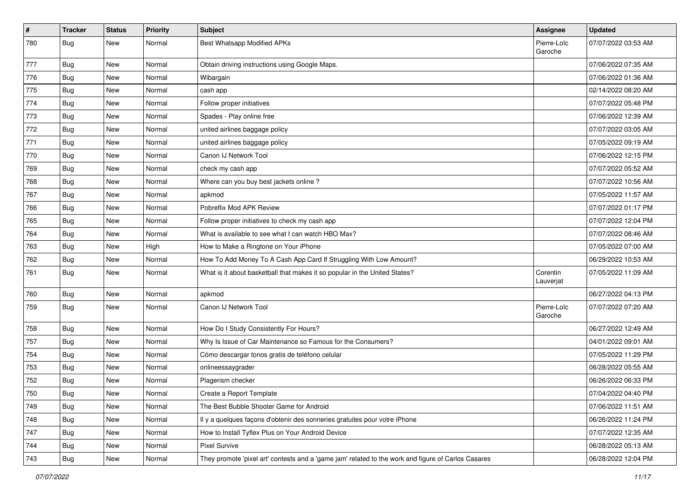| $\vert$ # | <b>Tracker</b> | <b>Status</b> | Priority | Subject                                                                                             | <b>Assignee</b>        | <b>Updated</b>      |
|-----------|----------------|---------------|----------|-----------------------------------------------------------------------------------------------------|------------------------|---------------------|
| 780       | <b>Bug</b>     | New           | Normal   | <b>Best Whatsapp Modified APKs</b>                                                                  | Pierre-Loïc<br>Garoche | 07/07/2022 03:53 AM |
| 777       | <b>Bug</b>     | New           | Normal   | Obtain driving instructions using Google Maps.                                                      |                        | 07/06/2022 07:35 AM |
| 776       | <b>Bug</b>     | New           | Normal   | Wibargain                                                                                           |                        | 07/06/2022 01:36 AM |
| 775       | Bug            | New           | Normal   | cash app                                                                                            |                        | 02/14/2022 08:20 AM |
| 774       | Bug            | New           | Normal   | Follow proper initiatives                                                                           |                        | 07/07/2022 05:48 PM |
| 773       | <b>Bug</b>     | New           | Normal   | Spades - Play online free                                                                           |                        | 07/06/2022 12:39 AM |
| 772       | Bug            | New           | Normal   | united airlines baggage policy                                                                      |                        | 07/07/2022 03:05 AM |
| 771       | Bug            | New           | Normal   | united airlines baggage policy                                                                      |                        | 07/05/2022 09:19 AM |
| 770       | <b>Bug</b>     | New           | Normal   | Canon IJ Network Tool                                                                               |                        | 07/06/2022 12:15 PM |
| 769       | <b>Bug</b>     | New           | Normal   | check my cash app                                                                                   |                        | 07/07/2022 05:52 AM |
| 768       | <b>Bug</b>     | New           | Normal   | Where can you buy best jackets online?                                                              |                        | 07/07/2022 10:56 AM |
| 767       | Bug            | <b>New</b>    | Normal   | apkmod                                                                                              |                        | 07/05/2022 11:57 AM |
| 766       | Bug            | New           | Normal   | Pobreflix Mod APK Review                                                                            |                        | 07/07/2022 01:17 PM |
| 765       | <b>Bug</b>     | New           | Normal   | Follow proper initiatives to check my cash app                                                      |                        | 07/07/2022 12:04 PM |
| 764       | <b>Bug</b>     | New           | Normal   | What is available to see what I can watch HBO Max?                                                  |                        | 07/07/2022 08:46 AM |
| 763       | <b>Bug</b>     | New           | High     | How to Make a Ringtone on Your iPhone                                                               |                        | 07/05/2022 07:00 AM |
| 762       | Bug            | New           | Normal   | How To Add Money To A Cash App Card If Struggling With Low Amount?                                  |                        | 06/29/2022 10:53 AM |
| 761       | <b>Bug</b>     | New           | Normal   | What is it about basketball that makes it so popular in the United States?                          | Corentin<br>Lauverjat  | 07/05/2022 11:09 AM |
| 760       | <b>Bug</b>     | <b>New</b>    | Normal   | apkmod                                                                                              |                        | 06/27/2022 04:13 PM |
| 759       | <b>Bug</b>     | New           | Normal   | Canon IJ Network Tool                                                                               | Pierre-Loïc<br>Garoche | 07/07/2022 07:20 AM |
| 758       | Bug            | New           | Normal   | How Do I Study Consistently For Hours?                                                              |                        | 06/27/2022 12:49 AM |
| 757       | <b>Bug</b>     | New           | Normal   | Why Is Issue of Car Maintenance so Famous for the Consumers?                                        |                        | 04/01/2022 09:01 AM |
| 754       | <b>Bug</b>     | New           | Normal   | Cómo descargar tonos gratis de teléfono celular                                                     |                        | 07/05/2022 11:29 PM |
| 753       | Bug            | New           | Normal   | onlineessaygrader                                                                                   |                        | 06/28/2022 05:55 AM |
| 752       | <b>Bug</b>     | New           | Normal   | Plagerism checker                                                                                   |                        | 06/26/2022 06:33 PM |
| 750       | Bug            | New           | Normal   | Create a Report Template                                                                            |                        | 07/04/2022 04:40 PM |
| 749       | <b>Bug</b>     | New           | Normal   | The Best Bubble Shooter Game for Android                                                            |                        | 07/06/2022 11:51 AM |
| 748       | <b>Bug</b>     | New           | Normal   | Il y a quelques façons d'obtenir des sonneries gratuites pour votre iPhone                          |                        | 06/26/2022 11:24 PM |
| 747       | <b>Bug</b>     | New           | Normal   | How to Install Tyflex Plus on Your Android Device                                                   |                        | 07/07/2022 12:35 AM |
| 744       | Bug            | New           | Normal   | Pixel Survive                                                                                       |                        | 06/28/2022 05:13 AM |
| 743       | <b>Bug</b>     | New           | Normal   | They promote 'pixel art' contests and a 'game jam' related to the work and figure of Carlos Casares |                        | 06/28/2022 12:04 PM |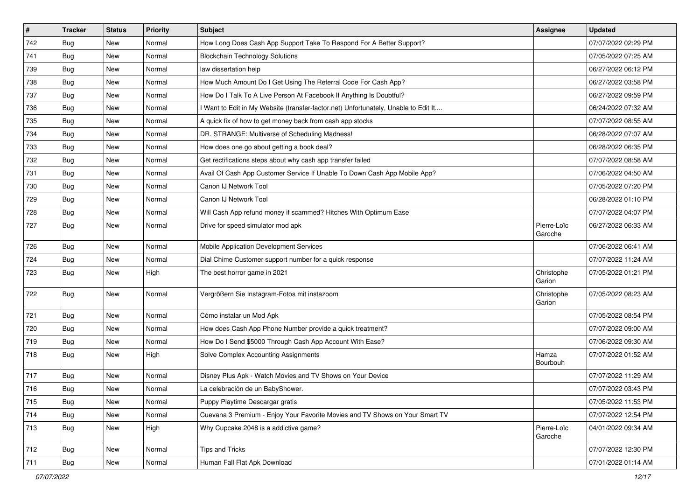| $\vert$ # | <b>Tracker</b> | <b>Status</b> | Priority | <b>Subject</b>                                                                      | <b>Assignee</b>        | <b>Updated</b>      |
|-----------|----------------|---------------|----------|-------------------------------------------------------------------------------------|------------------------|---------------------|
| 742       | <b>Bug</b>     | New           | Normal   | How Long Does Cash App Support Take To Respond For A Better Support?                |                        | 07/07/2022 02:29 PM |
| 741       | Bug            | New           | Normal   | <b>Blockchain Technology Solutions</b>                                              |                        | 07/05/2022 07:25 AM |
| 739       | Bug            | New           | Normal   | law dissertation help                                                               |                        | 06/27/2022 06:12 PM |
| 738       | <b>Bug</b>     | New           | Normal   | How Much Amount Do I Get Using The Referral Code For Cash App?                      |                        | 06/27/2022 03:58 PM |
| 737       | <b>Bug</b>     | New           | Normal   | How Do I Talk To A Live Person At Facebook If Anything Is Doubtful?                 |                        | 06/27/2022 09:59 PM |
| 736       | Bug            | New           | Normal   | I Want to Edit in My Website (transfer-factor.net) Unfortunately, Unable to Edit It |                        | 06/24/2022 07:32 AM |
| 735       | Bug            | New           | Normal   | A quick fix of how to get money back from cash app stocks                           |                        | 07/07/2022 08:55 AM |
| 734       | <b>Bug</b>     | New           | Normal   | DR. STRANGE: Multiverse of Scheduling Madness!                                      |                        | 06/28/2022 07:07 AM |
| 733       | <b>Bug</b>     | New           | Normal   | How does one go about getting a book deal?                                          |                        | 06/28/2022 06:35 PM |
| 732       | <b>Bug</b>     | New           | Normal   | Get rectifications steps about why cash app transfer failed                         |                        | 07/07/2022 08:58 AM |
| 731       | Bug            | New           | Normal   | Avail Of Cash App Customer Service If Unable To Down Cash App Mobile App?           |                        | 07/06/2022 04:50 AM |
| 730       | Bug            | New           | Normal   | Canon IJ Network Tool                                                               |                        | 07/05/2022 07:20 PM |
| 729       | Bug            | New           | Normal   | Canon IJ Network Tool                                                               |                        | 06/28/2022 01:10 PM |
| 728       | Bug            | New           | Normal   | Will Cash App refund money if scammed? Hitches With Optimum Ease                    |                        | 07/07/2022 04:07 PM |
| 727       | Bug            | New           | Normal   | Drive for speed simulator mod apk                                                   | Pierre-Loïc<br>Garoche | 06/27/2022 06:33 AM |
| 726       | Bug            | New           | Normal   | Mobile Application Development Services                                             |                        | 07/06/2022 06:41 AM |
| 724       | <b>Bug</b>     | New           | Normal   | Dial Chime Customer support number for a quick response                             |                        | 07/07/2022 11:24 AM |
| 723       | Bug            | New           | High     | The best horror game in 2021                                                        | Christophe<br>Garion   | 07/05/2022 01:21 PM |
| 722       | <b>Bug</b>     | New           | Normal   | Vergrößern Sie Instagram-Fotos mit instazoom                                        | Christophe<br>Garion   | 07/05/2022 08:23 AM |
| 721       | Bug            | New           | Normal   | Cómo instalar un Mod Apk                                                            |                        | 07/05/2022 08:54 PM |
| 720       | Bug            | New           | Normal   | How does Cash App Phone Number provide a quick treatment?                           |                        | 07/07/2022 09:00 AM |
| 719       | <b>Bug</b>     | New           | Normal   | How Do I Send \$5000 Through Cash App Account With Ease?                            |                        | 07/06/2022 09:30 AM |
| 718       | Bug            | New           | High     | Solve Complex Accounting Assignments                                                | Hamza<br>Bourbouh      | 07/07/2022 01:52 AM |
| 717       | <b>Bug</b>     | New           | Normal   | Disney Plus Apk - Watch Movies and TV Shows on Your Device                          |                        | 07/07/2022 11:29 AM |
| 716       | <b>Bug</b>     | New           | Normal   | La celebración de un BabyShower.                                                    |                        | 07/07/2022 03:43 PM |
| 715       | Bug            | New           | Normal   | Puppy Playtime Descargar gratis                                                     |                        | 07/05/2022 11:53 PM |
| 714       | Bug            | New           | Normal   | Cuevana 3 Premium - Enjoy Your Favorite Movies and TV Shows on Your Smart TV        |                        | 07/07/2022 12:54 PM |
| 713       | Bug            | New           | High     | Why Cupcake 2048 is a addictive game?                                               | Pierre-Loïc<br>Garoche | 04/01/2022 09:34 AM |
| 712       | Bug            | New           | Normal   | <b>Tips and Tricks</b>                                                              |                        | 07/07/2022 12:30 PM |
| 711       | <b>Bug</b>     | New           | Normal   | Human Fall Flat Apk Download                                                        |                        | 07/01/2022 01:14 AM |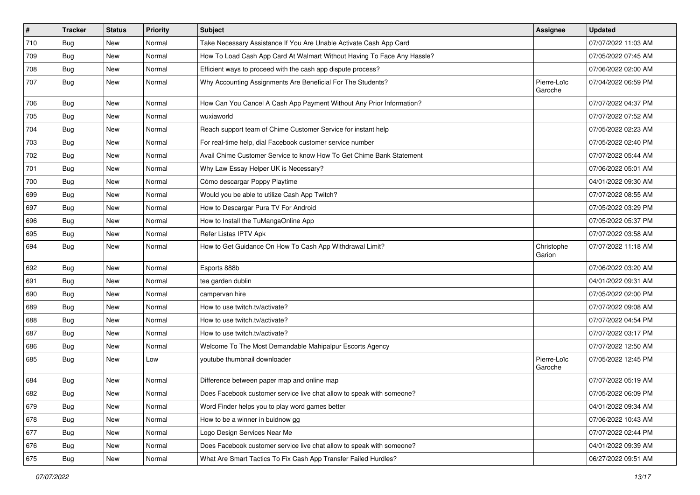| $\sharp$ | <b>Tracker</b> | <b>Status</b> | <b>Priority</b> | Subject                                                                 | <b>Assignee</b>        | <b>Updated</b>      |
|----------|----------------|---------------|-----------------|-------------------------------------------------------------------------|------------------------|---------------------|
| 710      | <b>Bug</b>     | New           | Normal          | Take Necessary Assistance If You Are Unable Activate Cash App Card      |                        | 07/07/2022 11:03 AM |
| 709      | Bug            | New           | Normal          | How To Load Cash App Card At Walmart Without Having To Face Any Hassle? |                        | 07/05/2022 07:45 AM |
| 708      | Bug            | New           | Normal          | Efficient ways to proceed with the cash app dispute process?            |                        | 07/06/2022 02:00 AM |
| 707      | <b>Bug</b>     | New           | Normal          | Why Accounting Assignments Are Beneficial For The Students?             | Pierre-Loïc<br>Garoche | 07/04/2022 06:59 PM |
| 706      | <b>Bug</b>     | New           | Normal          | How Can You Cancel A Cash App Payment Without Any Prior Information?    |                        | 07/07/2022 04:37 PM |
| 705      | Bug            | New           | Normal          | wuxiaworld                                                              |                        | 07/07/2022 07:52 AM |
| 704      | Bug            | <b>New</b>    | Normal          | Reach support team of Chime Customer Service for instant help           |                        | 07/05/2022 02:23 AM |
| 703      | <b>Bug</b>     | New           | Normal          | For real-time help, dial Facebook customer service number               |                        | 07/05/2022 02:40 PM |
| 702      | <b>Bug</b>     | New           | Normal          | Avail Chime Customer Service to know How To Get Chime Bank Statement    |                        | 07/07/2022 05:44 AM |
| 701      | <b>Bug</b>     | New           | Normal          | Why Law Essay Helper UK is Necessary?                                   |                        | 07/06/2022 05:01 AM |
| 700      | <b>Bug</b>     | New           | Normal          | Cómo descargar Poppy Playtime                                           |                        | 04/01/2022 09:30 AM |
| 699      | Bug            | <b>New</b>    | Normal          | Would you be able to utilize Cash App Twitch?                           |                        | 07/07/2022 08:55 AM |
| 697      | <b>Bug</b>     | New           | Normal          | How to Descargar Pura TV For Android                                    |                        | 07/05/2022 03:29 PM |
| 696      | Bug            | New           | Normal          | How to Install the TuMangaOnline App                                    |                        | 07/05/2022 05:37 PM |
| 695      | Bug            | <b>New</b>    | Normal          | Refer Listas IPTV Apk                                                   |                        | 07/07/2022 03:58 AM |
| 694      | <b>Bug</b>     | New           | Normal          | How to Get Guidance On How To Cash App Withdrawal Limit?                | Christophe<br>Garion   | 07/07/2022 11:18 AM |
| 692      | Bug            | New           | Normal          | Esports 888b                                                            |                        | 07/06/2022 03:20 AM |
| 691      | <b>Bug</b>     | New           | Normal          | tea garden dublin                                                       |                        | 04/01/2022 09:31 AM |
| 690      | Bug            | <b>New</b>    | Normal          | campervan hire                                                          |                        | 07/05/2022 02:00 PM |
| 689      | <b>Bug</b>     | New           | Normal          | How to use twitch.tv/activate?                                          |                        | 07/07/2022 09:08 AM |
| 688      | <b>Bug</b>     | New           | Normal          | How to use twitch.tv/activate?                                          |                        | 07/07/2022 04:54 PM |
| 687      | <b>Bug</b>     | New           | Normal          | How to use twitch.tv/activate?                                          |                        | 07/07/2022 03:17 PM |
| 686      | <b>Bug</b>     | New           | Normal          | Welcome To The Most Demandable Mahipalpur Escorts Agency                |                        | 07/07/2022 12:50 AM |
| 685      | <b>Bug</b>     | New           | Low             | youtube thumbnail downloader                                            | Pierre-Loïc<br>Garoche | 07/05/2022 12:45 PM |
| 684      | <b>Bug</b>     | New           | Normal          | Difference between paper map and online map                             |                        | 07/07/2022 05:19 AM |
| 682      | Bug            | New           | Normal          | Does Facebook customer service live chat allow to speak with someone?   |                        | 07/05/2022 06:09 PM |
| 679      | <b>Bug</b>     | New           | Normal          | Word Finder helps you to play word games better                         |                        | 04/01/2022 09:34 AM |
| 678      | Bug            | New           | Normal          | How to be a winner in buidnow gg                                        |                        | 07/06/2022 10:43 AM |
| 677      | <b>Bug</b>     | New           | Normal          | Logo Design Services Near Me                                            |                        | 07/07/2022 02:44 PM |
| 676      | Bug            | New           | Normal          | Does Facebook customer service live chat allow to speak with someone?   |                        | 04/01/2022 09:39 AM |
| 675      | <b>Bug</b>     | New           | Normal          | What Are Smart Tactics To Fix Cash App Transfer Failed Hurdles?         |                        | 06/27/2022 09:51 AM |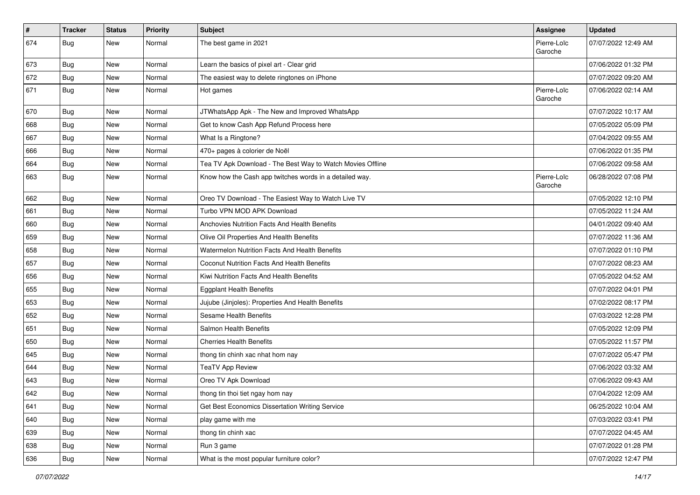| $\vert$ # | <b>Tracker</b> | <b>Status</b> | <b>Priority</b> | Subject                                                    | <b>Assignee</b>        | <b>Updated</b>      |
|-----------|----------------|---------------|-----------------|------------------------------------------------------------|------------------------|---------------------|
| 674       | Bug            | New           | Normal          | The best game in 2021                                      | Pierre-Loïc<br>Garoche | 07/07/2022 12:49 AM |
| 673       | <b>Bug</b>     | New           | Normal          | Learn the basics of pixel art - Clear grid                 |                        | 07/06/2022 01:32 PM |
| 672       | <b>Bug</b>     | New           | Normal          | The easiest way to delete ringtones on iPhone              |                        | 07/07/2022 09:20 AM |
| 671       | Bug            | <b>New</b>    | Normal          | Hot games                                                  | Pierre-Loïc<br>Garoche | 07/06/2022 02:14 AM |
| 670       | Bug            | New           | Normal          | JTWhatsApp Apk - The New and Improved WhatsApp             |                        | 07/07/2022 10:17 AM |
| 668       | <b>Bug</b>     | <b>New</b>    | Normal          | Get to know Cash App Refund Process here                   |                        | 07/05/2022 05:09 PM |
| 667       | Bug            | <b>New</b>    | Normal          | What Is a Ringtone?                                        |                        | 07/04/2022 09:55 AM |
| 666       | Bug            | New           | Normal          | 470+ pages à colorier de Noël                              |                        | 07/06/2022 01:35 PM |
| 664       | Bug            | New           | Normal          | Tea TV Apk Download - The Best Way to Watch Movies Offline |                        | 07/06/2022 09:58 AM |
| 663       | Bug            | New           | Normal          | Know how the Cash app twitches words in a detailed way.    | Pierre-Loïc<br>Garoche | 06/28/2022 07:08 PM |
| 662       | Bug            | New           | Normal          | Oreo TV Download - The Easiest Way to Watch Live TV        |                        | 07/05/2022 12:10 PM |
| 661       | Bug            | New           | Normal          | Turbo VPN MOD APK Download                                 |                        | 07/05/2022 11:24 AM |
| 660       | <b>Bug</b>     | New           | Normal          | Anchovies Nutrition Facts And Health Benefits              |                        | 04/01/2022 09:40 AM |
| 659       | <b>Bug</b>     | New           | Normal          | Olive Oil Properties And Health Benefits                   |                        | 07/07/2022 11:36 AM |
| 658       | Bug            | <b>New</b>    | Normal          | <b>Watermelon Nutrition Facts And Health Benefits</b>      |                        | 07/07/2022 01:10 PM |
| 657       | <b>Bug</b>     | New           | Normal          | Coconut Nutrition Facts And Health Benefits                |                        | 07/07/2022 08:23 AM |
| 656       | <b>Bug</b>     | New           | Normal          | Kiwi Nutrition Facts And Health Benefits                   |                        | 07/05/2022 04:52 AM |
| 655       | Bug            | <b>New</b>    | Normal          | <b>Eggplant Health Benefits</b>                            |                        | 07/07/2022 04:01 PM |
| 653       | Bug            | <b>New</b>    | Normal          | Jujube (Jinjoles): Properties And Health Benefits          |                        | 07/02/2022 08:17 PM |
| 652       | <b>Bug</b>     | New           | Normal          | Sesame Health Benefits                                     |                        | 07/03/2022 12:28 PM |
| 651       | <b>Bug</b>     | New           | Normal          | Salmon Health Benefits                                     |                        | 07/05/2022 12:09 PM |
| 650       | <b>Bug</b>     | New           | Normal          | <b>Cherries Health Benefits</b>                            |                        | 07/05/2022 11:57 PM |
| 645       | Bug            | <b>New</b>    | Normal          | thong tin chinh xac nhat hom nay                           |                        | 07/07/2022 05:47 PM |
| 644       | Bug            | New           | Normal          | <b>TeaTV App Review</b>                                    |                        | 07/06/2022 03:32 AM |
| 643       | <b>Bug</b>     | New           | Normal          | Oreo TV Apk Download                                       |                        | 07/06/2022 09:43 AM |
| 642       | Bug            | New           | Normal          | thong tin thoi tiet ngay hom nay                           |                        | 07/04/2022 12:09 AM |
| 641       | Bug            | New           | Normal          | Get Best Economics Dissertation Writing Service            |                        | 06/25/2022 10:04 AM |
| 640       | <b>Bug</b>     | New           | Normal          | play game with me                                          |                        | 07/03/2022 03:41 PM |
| 639       | <b>Bug</b>     | New           | Normal          | thong tin chinh xac                                        |                        | 07/07/2022 04:45 AM |
| 638       | Bug            | New           | Normal          | Run 3 game                                                 |                        | 07/07/2022 01:28 PM |
| 636       | <b>Bug</b>     | New           | Normal          | What is the most popular furniture color?                  |                        | 07/07/2022 12:47 PM |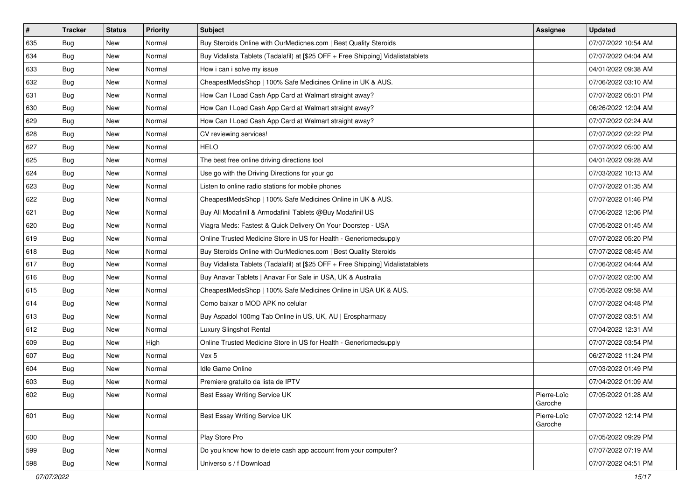| #   | <b>Tracker</b> | <b>Status</b> | <b>Priority</b> | Subject                                                                          | <b>Assignee</b>        | <b>Updated</b>      |
|-----|----------------|---------------|-----------------|----------------------------------------------------------------------------------|------------------------|---------------------|
| 635 | <b>Bug</b>     | New           | Normal          | Buy Steroids Online with OurMedicnes.com   Best Quality Steroids                 |                        | 07/07/2022 10:54 AM |
| 634 | Bug            | New           | Normal          | Buy Vidalista Tablets (Tadalafil) at [\$25 OFF + Free Shipping] Vidalistatablets |                        | 07/07/2022 04:04 AM |
| 633 | Bug            | New           | Normal          | How i can i solve my issue                                                       |                        | 04/01/2022 09:38 AM |
| 632 | Bug            | New           | Normal          | CheapestMedsShop   100% Safe Medicines Online in UK & AUS.                       |                        | 07/06/2022 03:10 AM |
| 631 | Bug            | <b>New</b>    | Normal          | How Can I Load Cash App Card at Walmart straight away?                           |                        | 07/07/2022 05:01 PM |
| 630 | <b>Bug</b>     | New           | Normal          | How Can I Load Cash App Card at Walmart straight away?                           |                        | 06/26/2022 12:04 AM |
| 629 | Bug            | New           | Normal          | How Can I Load Cash App Card at Walmart straight away?                           |                        | 07/07/2022 02:24 AM |
| 628 | Bug            | New           | Normal          | CV reviewing services!                                                           |                        | 07/07/2022 02:22 PM |
| 627 | Bug            | New           | Normal          | <b>HELO</b>                                                                      |                        | 07/07/2022 05:00 AM |
| 625 | Bug            | New           | Normal          | The best free online driving directions tool                                     |                        | 04/01/2022 09:28 AM |
| 624 | <b>Bug</b>     | New           | Normal          | Use go with the Driving Directions for your go                                   |                        | 07/03/2022 10:13 AM |
| 623 | <b>Bug</b>     | New           | Normal          | Listen to online radio stations for mobile phones                                |                        | 07/07/2022 01:35 AM |
| 622 | Bug            | New           | Normal          | CheapestMedsShop   100% Safe Medicines Online in UK & AUS.                       |                        | 07/07/2022 01:46 PM |
| 621 | <b>Bug</b>     | New           | Normal          | Buy All Modafinil & Armodafinil Tablets @Buy Modafinil US                        |                        | 07/06/2022 12:06 PM |
| 620 | <b>Bug</b>     | New           | Normal          | Viagra Meds: Fastest & Quick Delivery On Your Doorstep - USA                     |                        | 07/05/2022 01:45 AM |
| 619 | Bug            | New           | Normal          | Online Trusted Medicine Store in US for Health - Genericmedsupply                |                        | 07/07/2022 05:20 PM |
| 618 | <b>Bug</b>     | New           | Normal          | Buy Steroids Online with OurMedicnes.com   Best Quality Steroids                 |                        | 07/07/2022 08:45 AM |
| 617 | Bug            | <b>New</b>    | Normal          | Buy Vidalista Tablets (Tadalafil) at [\$25 OFF + Free Shipping] Vidalistatablets |                        | 07/06/2022 04:44 AM |
| 616 | <b>Bug</b>     | New           | Normal          | Buy Anavar Tablets   Anavar For Sale in USA, UK & Australia                      |                        | 07/07/2022 02:00 AM |
| 615 | Bug            | New           | Normal          | CheapestMedsShop   100% Safe Medicines Online in USA UK & AUS.                   |                        | 07/05/2022 09:58 AM |
| 614 | Bug            | New           | Normal          | Como baixar o MOD APK no celular                                                 |                        | 07/07/2022 04:48 PM |
| 613 | Bug            | New           | Normal          | Buy Aspadol 100mg Tab Online in US, UK, AU   Erospharmacy                        |                        | 07/07/2022 03:51 AM |
| 612 | Bug            | New           | Normal          | Luxury Slingshot Rental                                                          |                        | 07/04/2022 12:31 AM |
| 609 | <b>Bug</b>     | New           | High            | Online Trusted Medicine Store in US for Health - Genericmedsupply                |                        | 07/07/2022 03:54 PM |
| 607 | Bug            | New           | Normal          | Vex 5                                                                            |                        | 06/27/2022 11:24 PM |
| 604 | Bug            | <b>New</b>    | Normal          | <b>Idle Game Online</b>                                                          |                        | 07/03/2022 01:49 PM |
| 603 | <b>Bug</b>     | New           | Normal          | Premiere gratuito da lista de IPTV                                               |                        | 07/04/2022 01:09 AM |
| 602 | <b>Bug</b>     | New           | Normal          | Best Essay Writing Service UK                                                    | Pierre-Loïc<br>Garoche | 07/05/2022 01:28 AM |
| 601 | Bug            | New           | Normal          | Best Essay Writing Service UK                                                    | Pierre-Loïc<br>Garoche | 07/07/2022 12:14 PM |
| 600 | Bug            | New           | Normal          | Play Store Pro                                                                   |                        | 07/05/2022 09:29 PM |
| 599 | Bug            | New           | Normal          | Do you know how to delete cash app account from your computer?                   |                        | 07/07/2022 07:19 AM |
| 598 | <b>Bug</b>     | New           | Normal          | Universo s / f Download                                                          |                        | 07/07/2022 04:51 PM |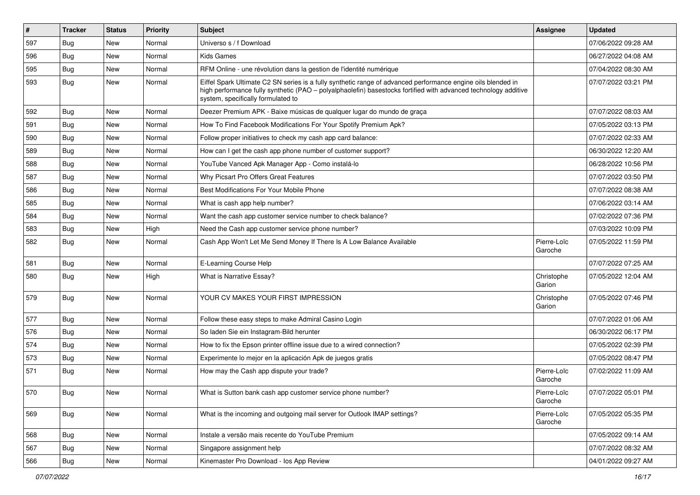| #   | <b>Tracker</b> | <b>Status</b> | <b>Priority</b> | Subject                                                                                                                                                                                                                                                               | <b>Assignee</b>        | <b>Updated</b>      |
|-----|----------------|---------------|-----------------|-----------------------------------------------------------------------------------------------------------------------------------------------------------------------------------------------------------------------------------------------------------------------|------------------------|---------------------|
| 597 | Bug            | <b>New</b>    | Normal          | Universo s / f Download                                                                                                                                                                                                                                               |                        | 07/06/2022 09:28 AM |
| 596 | Bug            | <b>New</b>    | Normal          | <b>Kids Games</b>                                                                                                                                                                                                                                                     |                        | 06/27/2022 04:08 AM |
| 595 | Bug            | New           | Normal          | RFM Online - une révolution dans la gestion de l'identité numérique                                                                                                                                                                                                   |                        | 07/04/2022 08:30 AM |
| 593 | Bug            | New           | Normal          | Eiffel Spark Ultimate C2 SN series is a fully synthetic range of advanced performance engine oils blended in<br>high performance fully synthetic (PAO - polyalphaolefin) basestocks fortified with advanced technology additive<br>system, specifically formulated to |                        | 07/07/2022 03:21 PM |
| 592 | Bug            | <b>New</b>    | Normal          | Deezer Premium APK - Baixe músicas de qualquer lugar do mundo de graça                                                                                                                                                                                                |                        | 07/07/2022 08:03 AM |
| 591 | Bug            | New           | Normal          | How To Find Facebook Modifications For Your Spotify Premium Apk?                                                                                                                                                                                                      |                        | 07/05/2022 03:13 PM |
| 590 | Bug            | <b>New</b>    | Normal          | Follow proper initiatives to check my cash app card balance:                                                                                                                                                                                                          |                        | 07/07/2022 02:33 AM |
| 589 | Bug            | <b>New</b>    | Normal          | How can I get the cash app phone number of customer support?                                                                                                                                                                                                          |                        | 06/30/2022 12:20 AM |
| 588 | Bug            | New           | Normal          | YouTube Vanced Apk Manager App - Como instalá-lo                                                                                                                                                                                                                      |                        | 06/28/2022 10:56 PM |
| 587 | Bug            | New           | Normal          | Why Picsart Pro Offers Great Features                                                                                                                                                                                                                                 |                        | 07/07/2022 03:50 PM |
| 586 | Bug            | <b>New</b>    | Normal          | Best Modifications For Your Mobile Phone                                                                                                                                                                                                                              |                        | 07/07/2022 08:38 AM |
| 585 | Bug            | New           | Normal          | What is cash app help number?                                                                                                                                                                                                                                         |                        | 07/06/2022 03:14 AM |
| 584 | Bug            | <b>New</b>    | Normal          | Want the cash app customer service number to check balance?                                                                                                                                                                                                           |                        | 07/02/2022 07:36 PM |
| 583 | Bug            | New           | High            | Need the Cash app customer service phone number?                                                                                                                                                                                                                      |                        | 07/03/2022 10:09 PM |
| 582 | Bug            | New           | Normal          | Cash App Won't Let Me Send Money If There Is A Low Balance Available                                                                                                                                                                                                  | Pierre-Loïc<br>Garoche | 07/05/2022 11:59 PM |
| 581 | Bug            | <b>New</b>    | Normal          | E-Learning Course Help                                                                                                                                                                                                                                                |                        | 07/07/2022 07:25 AM |
| 580 | Bug            | New           | High            | What is Narrative Essay?                                                                                                                                                                                                                                              | Christophe<br>Garion   | 07/05/2022 12:04 AM |
| 579 | Bug            | New           | Normal          | YOUR CV MAKES YOUR FIRST IMPRESSION                                                                                                                                                                                                                                   | Christophe<br>Garion   | 07/05/2022 07:46 PM |
| 577 | Bug            | New           | Normal          | Follow these easy steps to make Admiral Casino Login                                                                                                                                                                                                                  |                        | 07/07/2022 01:06 AM |
| 576 | Bug            | New           | Normal          | So laden Sie ein Instagram-Bild herunter                                                                                                                                                                                                                              |                        | 06/30/2022 06:17 PM |
| 574 | Bug            | <b>New</b>    | Normal          | How to fix the Epson printer offline issue due to a wired connection?                                                                                                                                                                                                 |                        | 07/05/2022 02:39 PM |
| 573 | Bug            | New           | Normal          | Experimente lo mejor en la aplicación Apk de juegos gratis                                                                                                                                                                                                            |                        | 07/05/2022 08:47 PM |
| 571 | Bug            | New           | Normal          | How may the Cash app dispute your trade?                                                                                                                                                                                                                              | Pierre-Loïc<br>Garoche | 07/02/2022 11:09 AM |
| 570 | Bug            | New           | Normal          | What is Sutton bank cash app customer service phone number?                                                                                                                                                                                                           | Pierre-Loïc<br>Garoche | 07/07/2022 05:01 PM |
| 569 | Bug            | New           | Normal          | What is the incoming and outgoing mail server for Outlook IMAP settings?                                                                                                                                                                                              | Pierre-Loïc<br>Garoche | 07/05/2022 05:35 PM |
| 568 | Bug            | New           | Normal          | Instale a versão mais recente do YouTube Premium                                                                                                                                                                                                                      |                        | 07/05/2022 09:14 AM |
| 567 | <b>Bug</b>     | New           | Normal          | Singapore assignment help                                                                                                                                                                                                                                             |                        | 07/07/2022 08:32 AM |
| 566 | Bug            | New           | Normal          | Kinemaster Pro Download - los App Review                                                                                                                                                                                                                              |                        | 04/01/2022 09:27 AM |